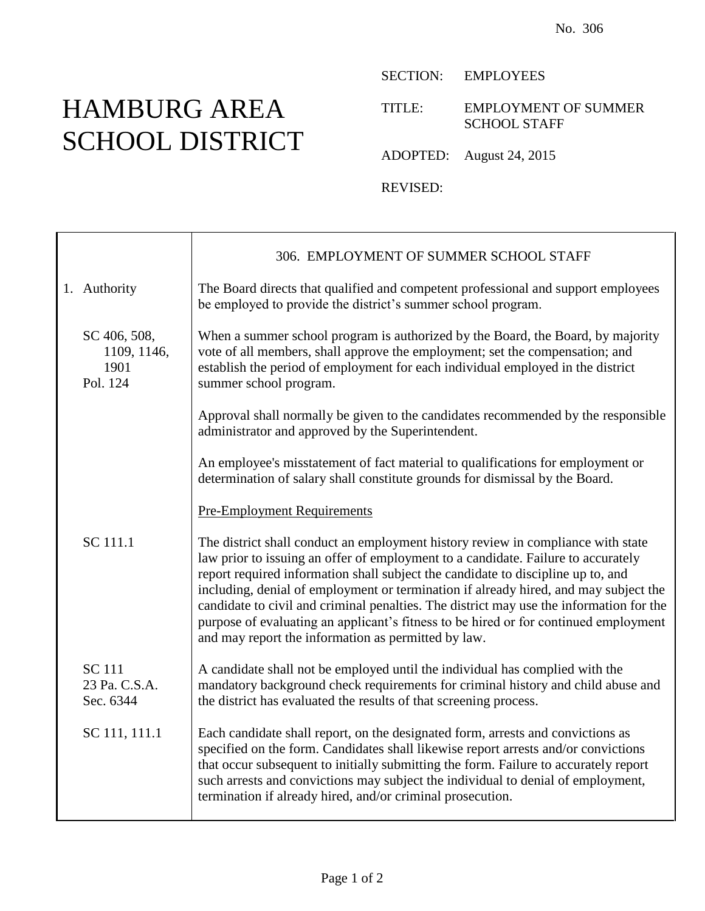## HAMBURG AREA SCHOOL DISTRICT

T

SECTION: EMPLOYEES

TITLE: EMPLOYMENT OF SUMMER SCHOOL STAFF

ADOPTED: August 24, 2015

REVISED:

|                                                 | 306. EMPLOYMENT OF SUMMER SCHOOL STAFF                                                                                                                                                                                                                                                                                                                                                                                                                                                                                                                                                      |
|-------------------------------------------------|---------------------------------------------------------------------------------------------------------------------------------------------------------------------------------------------------------------------------------------------------------------------------------------------------------------------------------------------------------------------------------------------------------------------------------------------------------------------------------------------------------------------------------------------------------------------------------------------|
| 1. Authority                                    | The Board directs that qualified and competent professional and support employees<br>be employed to provide the district's summer school program.                                                                                                                                                                                                                                                                                                                                                                                                                                           |
| SC 406, 508,<br>1109, 1146,<br>1901<br>Pol. 124 | When a summer school program is authorized by the Board, the Board, by majority<br>vote of all members, shall approve the employment; set the compensation; and<br>establish the period of employment for each individual employed in the district<br>summer school program.                                                                                                                                                                                                                                                                                                                |
|                                                 | Approval shall normally be given to the candidates recommended by the responsible<br>administrator and approved by the Superintendent.                                                                                                                                                                                                                                                                                                                                                                                                                                                      |
|                                                 | An employee's misstatement of fact material to qualifications for employment or<br>determination of salary shall constitute grounds for dismissal by the Board.                                                                                                                                                                                                                                                                                                                                                                                                                             |
|                                                 | <b>Pre-Employment Requirements</b>                                                                                                                                                                                                                                                                                                                                                                                                                                                                                                                                                          |
| SC 111.1                                        | The district shall conduct an employment history review in compliance with state<br>law prior to issuing an offer of employment to a candidate. Failure to accurately<br>report required information shall subject the candidate to discipline up to, and<br>including, denial of employment or termination if already hired, and may subject the<br>candidate to civil and criminal penalties. The district may use the information for the<br>purpose of evaluating an applicant's fitness to be hired or for continued employment<br>and may report the information as permitted by law. |
| <b>SC</b> 111<br>23 Pa. C.S.A.<br>Sec. 6344     | A candidate shall not be employed until the individual has complied with the<br>mandatory background check requirements for criminal history and child abuse and<br>the district has evaluated the results of that screening process.                                                                                                                                                                                                                                                                                                                                                       |
| SC 111, 111.1                                   | Each candidate shall report, on the designated form, arrests and convictions as<br>specified on the form. Candidates shall likewise report arrests and/or convictions<br>that occur subsequent to initially submitting the form. Failure to accurately report<br>such arrests and convictions may subject the individual to denial of employment,<br>termination if already hired, and/or criminal prosecution.                                                                                                                                                                             |